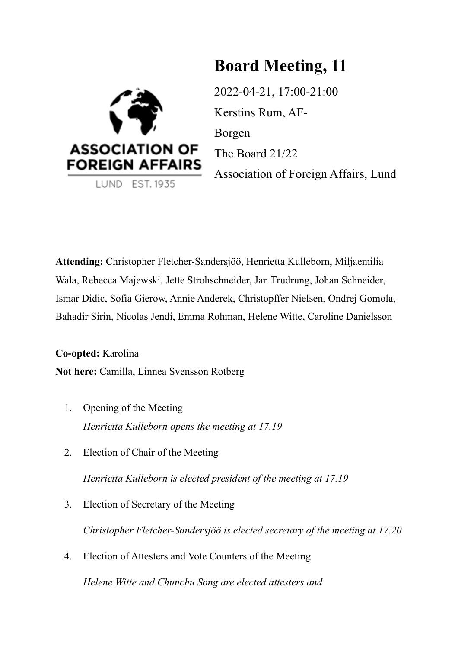# **Board Meeting, 11**



2022-04-21, 17:00-21:00 Kerstins Rum, AF-Borgen The Board 21/22 Association of Foreign Affairs, Lund

**Attending:** Christopher Fletcher-Sandersjöö, Henrietta Kulleborn, Miljaemilia Wala, Rebecca Majewski, Jette Strohschneider, Jan Trudrung, Johan Schneider, Ismar Didic, Sofia Gierow, Annie Anderek, Christopffer Nielsen, Ondrej Gomola, Bahadir Sirin, Nicolas Jendi, Emma Rohman, Helene Witte, Caroline Danielsson

**Co-opted:** Karolina **Not here:** Camilla, Linnea Svensson Rotberg

- 1. Opening of the Meeting *Henrietta Kulleborn opens the meeting at 17.19*
- 2. Election of Chair of the Meeting

*Henrietta Kulleborn is elected president of the meeting at 17.19*

- 3. Election of Secretary of the Meeting *Christopher Fletcher-Sandersjöö is elected secretary of the meeting at 17.20*
- 4. Election of Attesters and Vote Counters of the Meeting *Helene Witte and Chunchu Song are elected attesters and*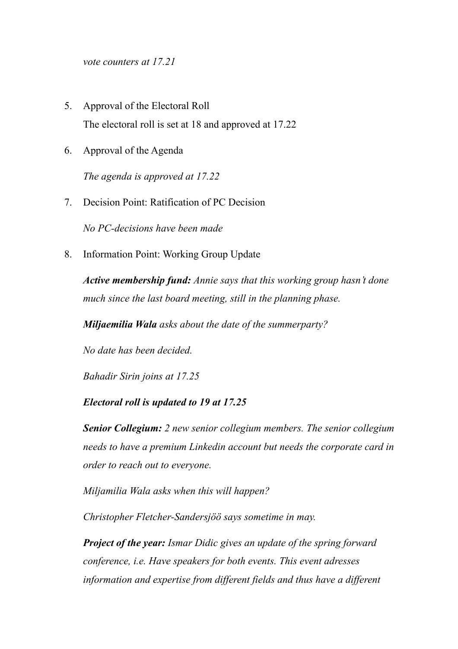*vote counters at 17.21*

- 5. Approval of the Electoral Roll The electoral roll is set at 18 and approved at 17.22
- 6. Approval of the Agenda

*The agenda is approved at 17.22*

7. Decision Point: Ratification of PC Decision

*No PC-decisions have been made*

8. Information Point: Working Group Update

*Active membership fund: Annie says that this working group hasn't done much since the last board meeting, still in the planning phase.* 

*Miljaemilia Wala asks about the date of the summerparty?* 

*No date has been decided.* 

*Bahadir Sirin joins at 17.25*

# *Electoral roll is updated to 19 at 17.25*

*Senior Collegium: 2 new senior collegium members. The senior collegium needs to have a premium Linkedin account but needs the corporate card in order to reach out to everyone.* 

*Miljamilia Wala asks when this will happen?* 

*Christopher Fletcher-Sandersjöö says sometime in may.* 

*Project of the year: Ismar Didic gives an update of the spring forward conference, i.e. Have speakers for both events. This event adresses information and expertise from different fields and thus have a different*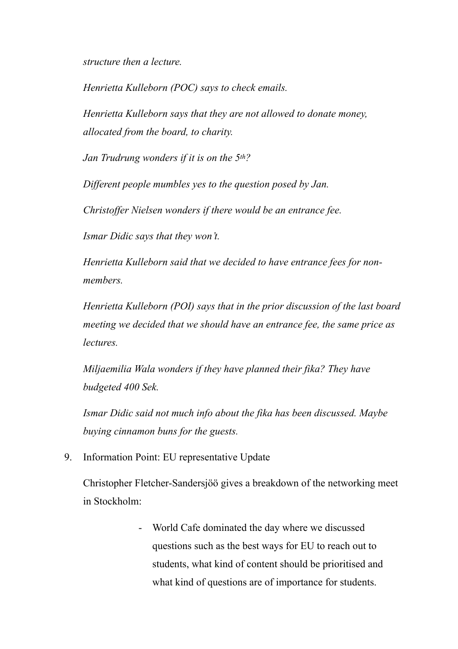*structure then a lecture.* 

*Henrietta Kulleborn (POC) says to check emails.* 

*Henrietta Kulleborn says that they are not allowed to donate money, allocated from the board, to charity.* 

*Jan Trudrung wonders if it is on the 5th?* 

*Different people mumbles yes to the question posed by Jan.* 

*Christoffer Nielsen wonders if there would be an entrance fee.* 

*Ismar Didic says that they won't.* 

*Henrietta Kulleborn said that we decided to have entrance fees for nonmembers.* 

*Henrietta Kulleborn (POI) says that in the prior discussion of the last board meeting we decided that we should have an entrance fee, the same price as lectures.* 

*Miljaemilia Wala wonders if they have planned their fika? They have budgeted 400 Sek.* 

*Ismar Didic said not much info about the fika has been discussed. Maybe buying cinnamon buns for the guests.* 

9. Information Point: EU representative Update

Christopher Fletcher-Sandersjöö gives a breakdown of the networking meet in Stockholm:

> - World Cafe dominated the day where we discussed questions such as the best ways for EU to reach out to students, what kind of content should be prioritised and what kind of questions are of importance for students.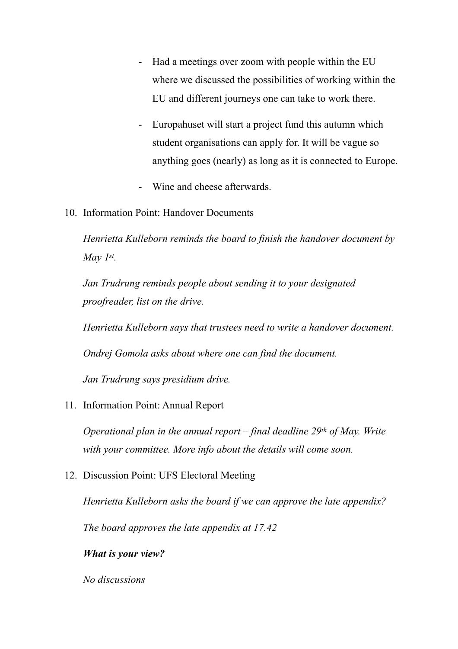- Had a meetings over zoom with people within the EU where we discussed the possibilities of working within the EU and different journeys one can take to work there.
- Europahuset will start a project fund this autumn which student organisations can apply for. It will be vague so anything goes (nearly) as long as it is connected to Europe.
- Wine and cheese afterwards.
- 10. Information Point: Handover Documents

*Henrietta Kulleborn reminds the board to finish the handover document by May 1st.* 

*Jan Trudrung reminds people about sending it to your designated proofreader, list on the drive.* 

*Henrietta Kulleborn says that trustees need to write a handover document.* 

*Ondrej Gomola asks about where one can find the document.* 

*Jan Trudrung says presidium drive.* 

11. Information Point: Annual Report

*Operational plan in the annual report – final deadline 29th of May. Write with your committee. More info about the details will come soon.* 

12. Discussion Point: UFS Electoral Meeting

*Henrietta Kulleborn asks the board if we can approve the late appendix?* 

*The board approves the late appendix at 17.42*

*What is your view?* 

*No discussions*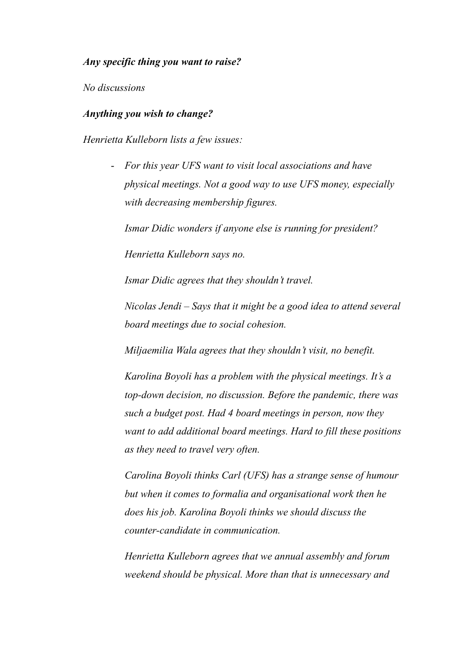## *Any specific thing you want to raise?*

*No discussions*

## *Anything you wish to change?*

*Henrietta Kulleborn lists a few issues:* 

- *For this year UFS want to visit local associations and have physical meetings. Not a good way to use UFS money, especially with decreasing membership figures.* 

*Ismar Didic wonders if anyone else is running for president?* 

*Henrietta Kulleborn says no.* 

*Ismar Didic agrees that they shouldn't travel.* 

*Nicolas Jendi – Says that it might be a good idea to attend several board meetings due to social cohesion.* 

*Miljaemilia Wala agrees that they shouldn't visit, no benefit.* 

*Karolina Boyoli has a problem with the physical meetings. It's a top-down decision, no discussion. Before the pandemic, there was such a budget post. Had 4 board meetings in person, now they want to add additional board meetings. Hard to fill these positions as they need to travel very often.* 

*Carolina Boyoli thinks Carl (UFS) has a strange sense of humour but when it comes to formalia and organisational work then he does his job. Karolina Boyoli thinks we should discuss the counter-candidate in communication.* 

*Henrietta Kulleborn agrees that we annual assembly and forum weekend should be physical. More than that is unnecessary and*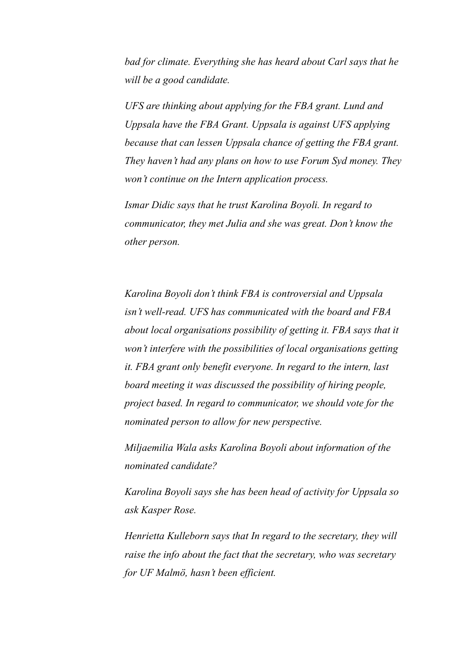*bad for climate. Everything she has heard about Carl says that he will be a good candidate.* 

*UFS are thinking about applying for the FBA grant. Lund and Uppsala have the FBA Grant. Uppsala is against UFS applying because that can lessen Uppsala chance of getting the FBA grant. They haven't had any plans on how to use Forum Syd money. They won't continue on the Intern application process.* 

*Ismar Didic says that he trust Karolina Boyoli. In regard to communicator, they met Julia and she was great. Don't know the other person.* 

*Karolina Boyoli don't think FBA is controversial and Uppsala isn't well-read. UFS has communicated with the board and FBA about local organisations possibility of getting it. FBA says that it won't interfere with the possibilities of local organisations getting it. FBA grant only benefit everyone. In regard to the intern, last board meeting it was discussed the possibility of hiring people, project based. In regard to communicator, we should vote for the nominated person to allow for new perspective.* 

*Miljaemilia Wala asks Karolina Boyoli about information of the nominated candidate?* 

*Karolina Boyoli says she has been head of activity for Uppsala so ask Kasper Rose.* 

*Henrietta Kulleborn says that In regard to the secretary, they will raise the info about the fact that the secretary, who was secretary for UF Malmö, hasn't been efficient.*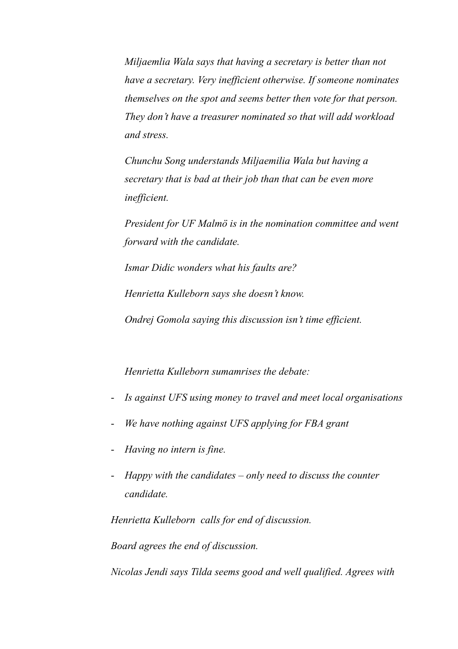*Miljaemlia Wala says that having a secretary is better than not have a secretary. Very inefficient otherwise. If someone nominates themselves on the spot and seems better then vote for that person. They don't have a treasurer nominated so that will add workload and stress.* 

*Chunchu Song understands Miljaemilia Wala but having a secretary that is bad at their job than that can be even more inefficient.*

*President for UF Malmö is in the nomination committee and went forward with the candidate.* 

*Ismar Didic wonders what his faults are?* 

*Henrietta Kulleborn says she doesn't know.* 

*Ondrej Gomola saying this discussion isn't time efficient.* 

*Henrietta Kulleborn sumamrises the debate:* 

- *Is against UFS using money to travel and meet local organisations*
- *We have nothing against UFS applying for FBA grant*
- *Having no intern is fine.*
- *Happy with the candidates only need to discuss the counter candidate.*

*Henrietta Kulleborn calls for end of discussion.* 

*Board agrees the end of discussion.* 

*Nicolas Jendi says Tilda seems good and well qualified. Agrees with*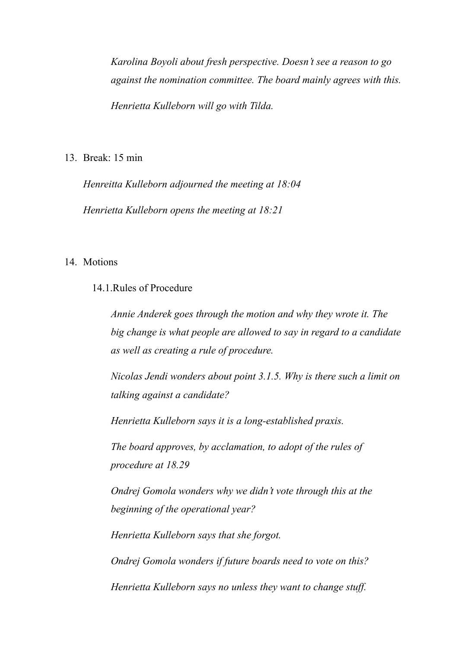*Karolina Boyoli about fresh perspective. Doesn't see a reason to go against the nomination committee. The board mainly agrees with this. Henrietta Kulleborn will go with Tilda.* 

13. Break: 15 min

*Henreitta Kulleborn adjourned the meeting at 18:04 Henrietta Kulleborn opens the meeting at 18:21*

# 14 Motions

# 14.1.Rules of Procedure

*Annie Anderek goes through the motion and why they wrote it. The big change is what people are allowed to say in regard to a candidate as well as creating a rule of procedure.* 

*Nicolas Jendi wonders about point 3.1.5. Why is there such a limit on talking against a candidate?* 

*Henrietta Kulleborn says it is a long-established praxis.* 

*The board approves, by acclamation, to adopt of the rules of procedure at 18.29* 

*Ondrej Gomola wonders why we didn't vote through this at the beginning of the operational year?* 

*Henrietta Kulleborn says that she forgot.* 

*Ondrej Gomola wonders if future boards need to vote on this?* 

*Henrietta Kulleborn says no unless they want to change stuff.*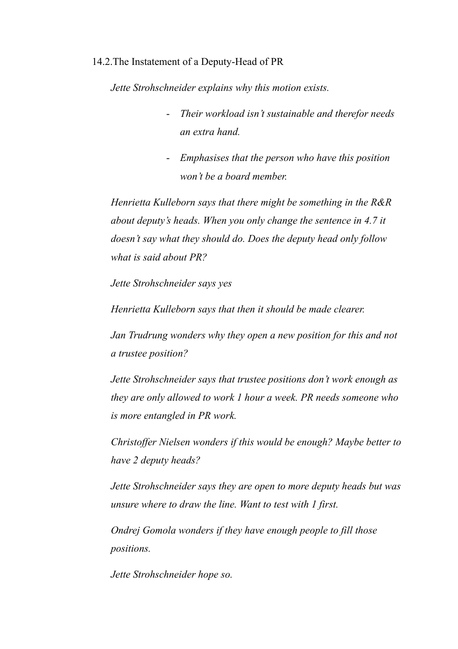#### 14.2.The Instatement of a Deputy-Head of PR

*Jette Strohschneider explains why this motion exists.* 

- *Their workload isn't sustainable and therefor needs an extra hand.*
- *Emphasises that the person who have this position won't be a board member.*

*Henrietta Kulleborn says that there might be something in the R&R about deputy's heads. When you only change the sentence in 4.7 it doesn't say what they should do. Does the deputy head only follow what is said about PR?* 

*Jette Strohschneider says yes*

*Henrietta Kulleborn says that then it should be made clearer.* 

*Jan Trudrung wonders why they open a new position for this and not a trustee position?* 

*Jette Strohschneider says that trustee positions don't work enough as they are only allowed to work 1 hour a week. PR needs someone who is more entangled in PR work.*

*Christoffer Nielsen wonders if this would be enough? Maybe better to have 2 deputy heads?* 

*Jette Strohschneider says they are open to more deputy heads but was unsure where to draw the line. Want to test with 1 first.* 

*Ondrej Gomola wonders if they have enough people to fill those positions.* 

*Jette Strohschneider hope so.*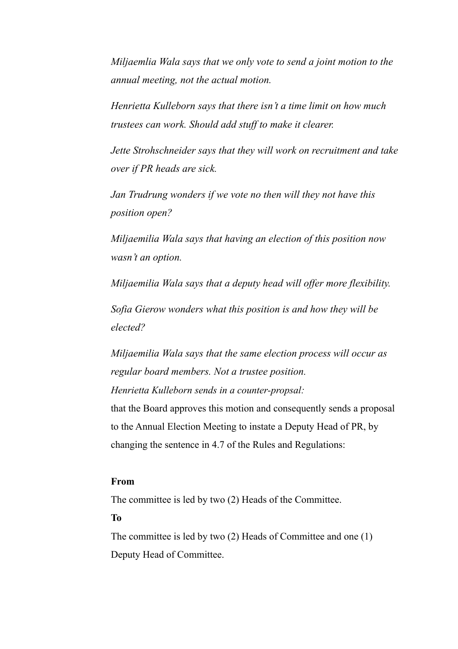*Miljaemlia Wala says that we only vote to send a joint motion to the annual meeting, not the actual motion.* 

*Henrietta Kulleborn says that there isn't a time limit on how much trustees can work. Should add stuff to make it clearer.* 

*Jette Strohschneider says that they will work on recruitment and take over if PR heads are sick.* 

*Jan Trudrung wonders if we vote no then will they not have this position open?* 

*Miljaemilia Wala says that having an election of this position now wasn't an option.* 

*Miljaemilia Wala says that a deputy head will offer more flexibility.* 

*Sofia Gierow wonders what this position is and how they will be elected?* 

*Miljaemilia Wala says that the same election process will occur as regular board members. Not a trustee position. Henrietta Kulleborn sends in a counter-propsal:* 

that the Board approves this motion and consequently sends a proposal to the Annual Election Meeting to instate a Deputy Head of PR, by changing the sentence in 4.7 of the Rules and Regulations:

# **From**

The committee is led by two (2) Heads of the Committee.

**To**

The committee is led by two (2) Heads of Committee and one (1) Deputy Head of Committee.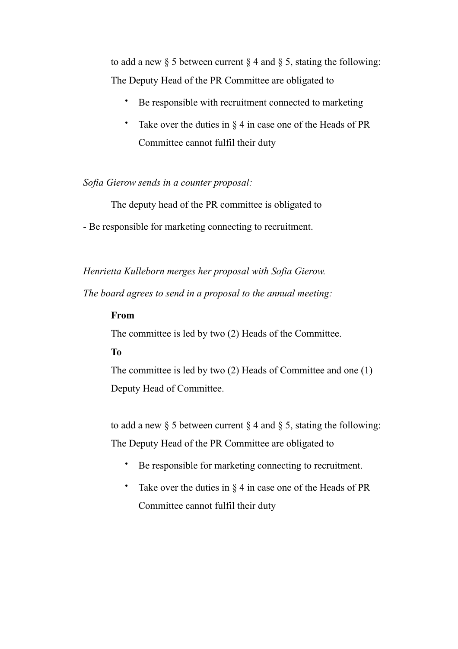to add a new  $\S$  5 between current  $\S$  4 and  $\S$  5, stating the following: The Deputy Head of the PR Committee are obligated to

- Be responsible with recruitment connected to marketing
- Take over the duties in  $\S 4$  in case one of the Heads of PR Committee cannot fulfil their duty

#### *Sofia Gierow sends in a counter proposal:*

The deputy head of the PR committee is obligated to

- Be responsible for marketing connecting to recruitment.

*Henrietta Kulleborn merges her proposal with Sofia Gierow.* 

*The board agrees to send in a proposal to the annual meeting:* 

#### **From**

The committee is led by two (2) Heads of the Committee.

# **To**

The committee is led by two (2) Heads of Committee and one (1) Deputy Head of Committee.

to add a new  $\S$  5 between current  $\S$  4 and  $\S$  5, stating the following: The Deputy Head of the PR Committee are obligated to

- Be responsible for marketing connecting to recruitment.
- Take over the duties in § 4 in case one of the Heads of PR Committee cannot fulfil their duty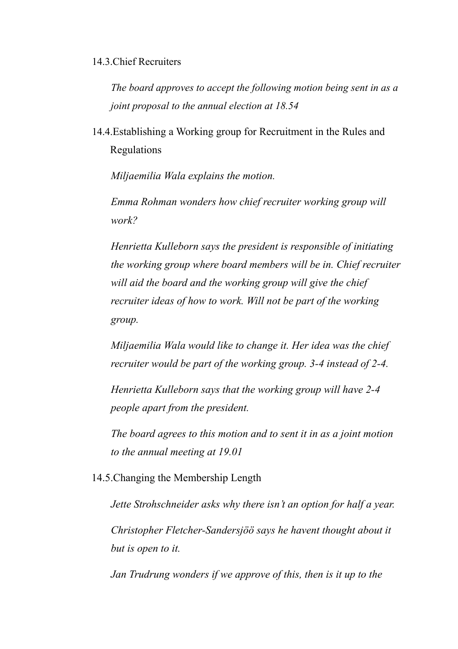# 14.3.Chief Recruiters

*The board approves to accept the following motion being sent in as a joint proposal to the annual election at 18.54*

14.4.Establishing a Working group for Recruitment in the Rules and Regulations

*Miljaemilia Wala explains the motion.* 

*Emma Rohman wonders how chief recruiter working group will work?* 

*Henrietta Kulleborn says the president is responsible of initiating the working group where board members will be in. Chief recruiter will aid the board and the working group will give the chief recruiter ideas of how to work. Will not be part of the working group.* 

*Miljaemilia Wala would like to change it. Her idea was the chief recruiter would be part of the working group. 3-4 instead of 2-4.* 

*Henrietta Kulleborn says that the working group will have 2-4 people apart from the president.* 

*The board agrees to this motion and to sent it in as a joint motion to the annual meeting at 19.01*

14.5.Changing the Membership Length

*Jette Strohschneider asks why there isn't an option for half a year. Christopher Fletcher-Sandersjöö says he havent thought about it but is open to it.* 

*Jan Trudrung wonders if we approve of this, then is it up to the*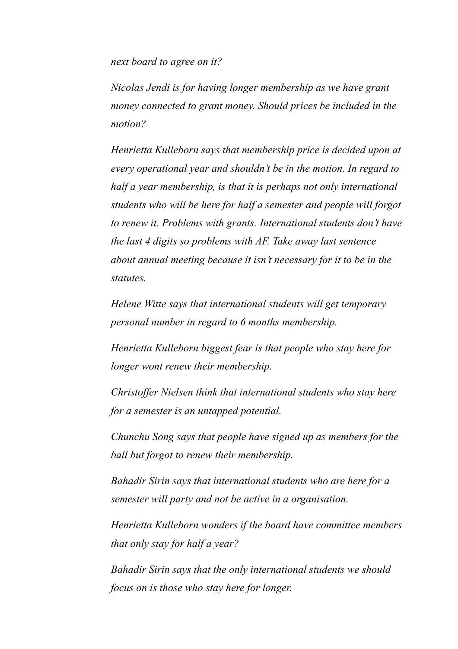*next board to agree on it?* 

*Nicolas Jendi is for having longer membership as we have grant money connected to grant money. Should prices be included in the motion?* 

*Henrietta Kulleborn says that membership price is decided upon at every operational year and shouldn't be in the motion. In regard to half a year membership, is that it is perhaps not only international students who will be here for half a semester and people will forgot to renew it. Problems with grants. International students don't have the last 4 digits so problems with AF. Take away last sentence about annual meeting because it isn't necessary for it to be in the statutes.* 

*Helene Witte says that international students will get temporary personal number in regard to 6 months membership.* 

*Henrietta Kulleborn biggest fear is that people who stay here for longer wont renew their membership.* 

*Christoffer Nielsen think that international students who stay here for a semester is an untapped potential.* 

*Chunchu Song says that people have signed up as members for the ball but forgot to renew their membership.* 

*Bahadir Sirin says that international students who are here for a semester will party and not be active in a organisation.* 

*Henrietta Kulleborn wonders if the board have committee members that only stay for half a year?*

*Bahadir Sirin says that the only international students we should focus on is those who stay here for longer.*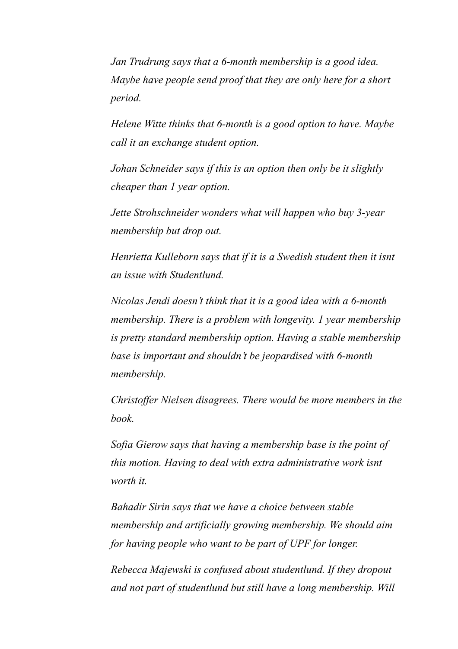*Jan Trudrung says that a 6-month membership is a good idea. Maybe have people send proof that they are only here for a short period.* 

*Helene Witte thinks that 6-month is a good option to have. Maybe call it an exchange student option.* 

*Johan Schneider says if this is an option then only be it slightly cheaper than 1 year option.* 

*Jette Strohschneider wonders what will happen who buy 3-year membership but drop out.* 

*Henrietta Kulleborn says that if it is a Swedish student then it isnt an issue with Studentlund.* 

*Nicolas Jendi doesn't think that it is a good idea with a 6-month membership. There is a problem with longevity. 1 year membership is pretty standard membership option. Having a stable membership base is important and shouldn't be jeopardised with 6-month membership.* 

*Christoffer Nielsen disagrees. There would be more members in the book.* 

*Sofia Gierow says that having a membership base is the point of this motion. Having to deal with extra administrative work isnt worth it.* 

*Bahadir Sirin says that we have a choice between stable membership and artificially growing membership. We should aim for having people who want to be part of UPF for longer.* 

*Rebecca Majewski is confused about studentlund. If they dropout and not part of studentlund but still have a long membership. Will*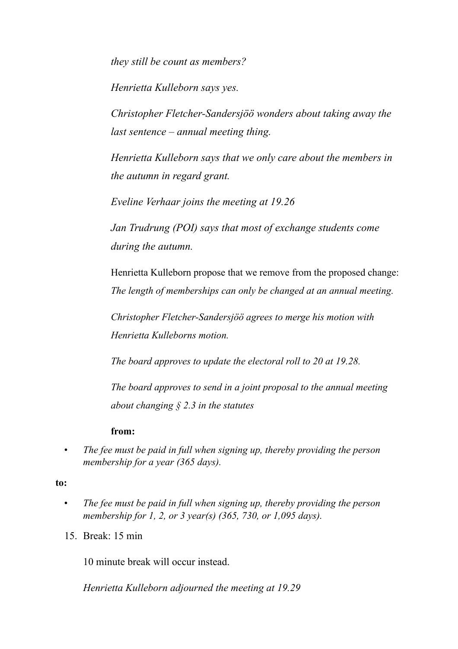*they still be count as members?* 

*Henrietta Kulleborn says yes.* 

*Christopher Fletcher-Sandersjöö wonders about taking away the last sentence – annual meeting thing.* 

*Henrietta Kulleborn says that we only care about the members in the autumn in regard grant.*

*Eveline Verhaar joins the meeting at 19.26*

*Jan Trudrung (POI) says that most of exchange students come during the autumn.* 

Henrietta Kulleborn propose that we remove from the proposed change: *The length of memberships can only be changed at an annual meeting.* 

*Christopher Fletcher-Sandersjöö agrees to merge his motion with Henrietta Kulleborns motion.* 

*The board approves to update the electoral roll to 20 at 19.28.*

*The board approves to send in a joint proposal to the annual meeting about changing § 2.3 in the statutes* 

## **from:**

*• The fee must be paid in full when signing up, thereby providing the person membership for a year (365 days).* 

**to:** 

- *• The fee must be paid in full when signing up, thereby providing the person membership for 1, 2, or 3 year(s) (365, 730, or 1,095 days).*
- 15. Break: 15 min

10 minute break will occur instead.

*Henrietta Kulleborn adjourned the meeting at 19.29*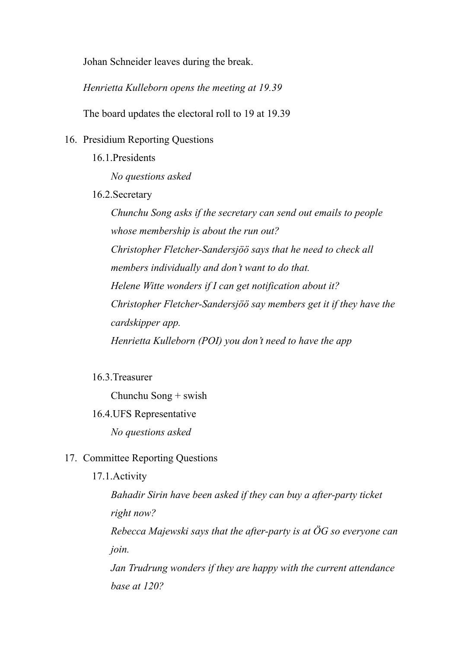Johan Schneider leaves during the break.

*Henrietta Kulleborn opens the meeting at 19.39*

The board updates the electoral roll to 19 at 19.39

- 16. Presidium Reporting Questions
	- 16.1 Presidents

*No questions asked*

16.2.Secretary

*Chunchu Song asks if the secretary can send out emails to people whose membership is about the run out? Christopher Fletcher-Sandersjöö says that he need to check all members individually and don't want to do that. Helene Witte wonders if I can get notification about it? Christopher Fletcher-Sandersjöö say members get it if they have the cardskipper app. Henrietta Kulleborn (POI) you don't need to have the app* 

16.3.Treasurer

Chunchu Song + swish

16.4.UFS Representative

*No questions asked*

- 17. Committee Reporting Questions
	- 17.1.Activity

*Bahadir Sirin have been asked if they can buy a after-party ticket right now? Rebecca Majewski says that the after-party is at ÖG so everyone can join. Jan Trudrung wonders if they are happy with the current attendance* 

*base at 120?*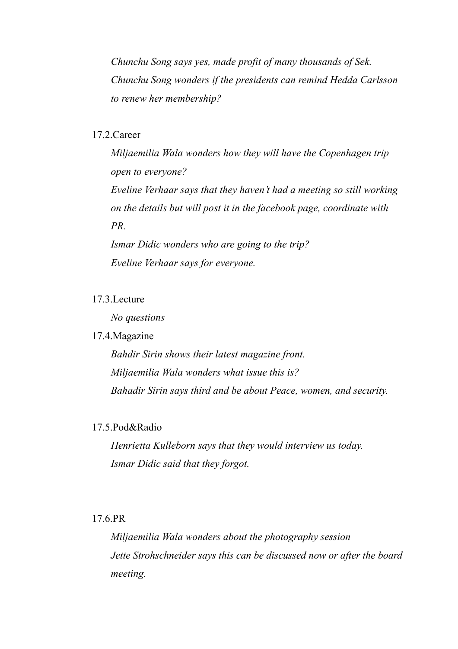*Chunchu Song says yes, made profit of many thousands of Sek. Chunchu Song wonders if the presidents can remind Hedda Carlsson to renew her membership?* 

## 17.2.Career

*Miljaemilia Wala wonders how they will have the Copenhagen trip open to everyone? Eveline Verhaar says that they haven't had a meeting so still working on the details but will post it in the facebook page, coordinate with PR.* 

*Ismar Didic wonders who are going to the trip? Eveline Verhaar says for everyone.* 

# 17.3.Lecture

*No questions* 

## 17.4.Magazine

*Bahdir Sirin shows their latest magazine front. Miljaemilia Wala wonders what issue this is? Bahadir Sirin says third and be about Peace, women, and security.* 

# 17.5.Pod&Radio

*Henrietta Kulleborn says that they would interview us today. Ismar Didic said that they forgot.* 

# 17.6.PR

*Miljaemilia Wala wonders about the photography session Jette Strohschneider says this can be discussed now or after the board meeting.*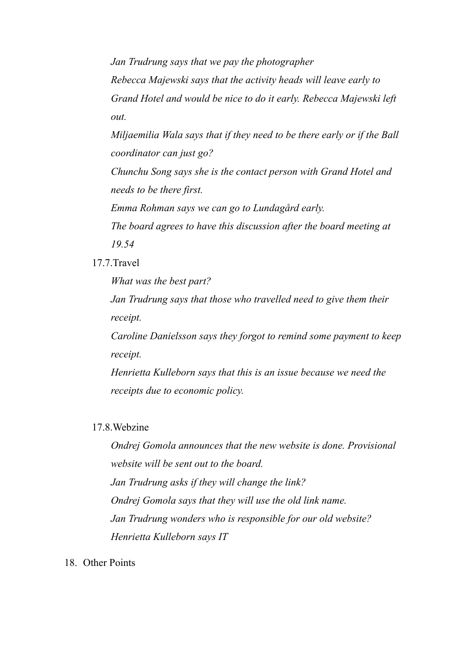*Jan Trudrung says that we pay the photographer Rebecca Majewski says that the activity heads will leave early to Grand Hotel and would be nice to do it early. Rebecca Majewski left out.* 

*Miljaemilia Wala says that if they need to be there early or if the Ball coordinator can just go?* 

*Chunchu Song says she is the contact person with Grand Hotel and needs to be there first.* 

*Emma Rohman says we can go to Lundagård early.*

*The board agrees to have this discussion after the board meeting at 19.54*

17.7.Travel

*What was the best part?* 

*Jan Trudrung says that those who travelled need to give them their receipt.* 

*Caroline Danielsson says they forgot to remind some payment to keep receipt.* 

*Henrietta Kulleborn says that this is an issue because we need the receipts due to economic policy.* 

# 17.8.Webzine

*Ondrej Gomola announces that the new website is done. Provisional website will be sent out to the board. Jan Trudrung asks if they will change the link? Ondrej Gomola says that they will use the old link name. Jan Trudrung wonders who is responsible for our old website? Henrietta Kulleborn says IT*

18. Other Points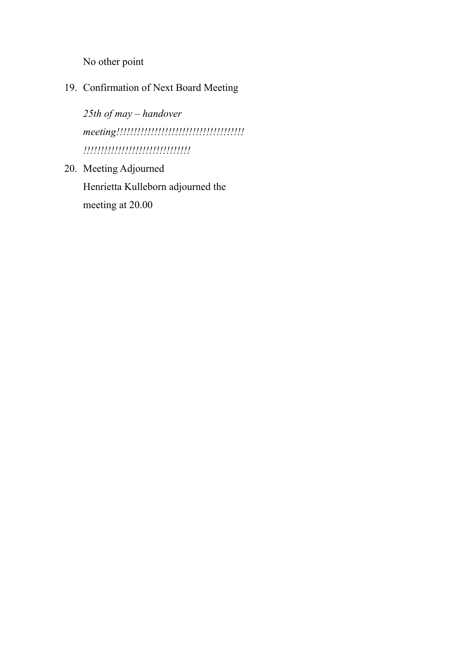No other point

19. Confirmation of Next Board Meeting

*25th of may – handover meeting!!!!!!!!!!!!!!!!!!!!!!!!!!!!!!!!!!!!! !!!!!!!!!!!!!!!!!!!!!!!!!!!!!!!*

20. Meeting Adjourned Henrietta Kulleborn adjourned the meeting at 20.00